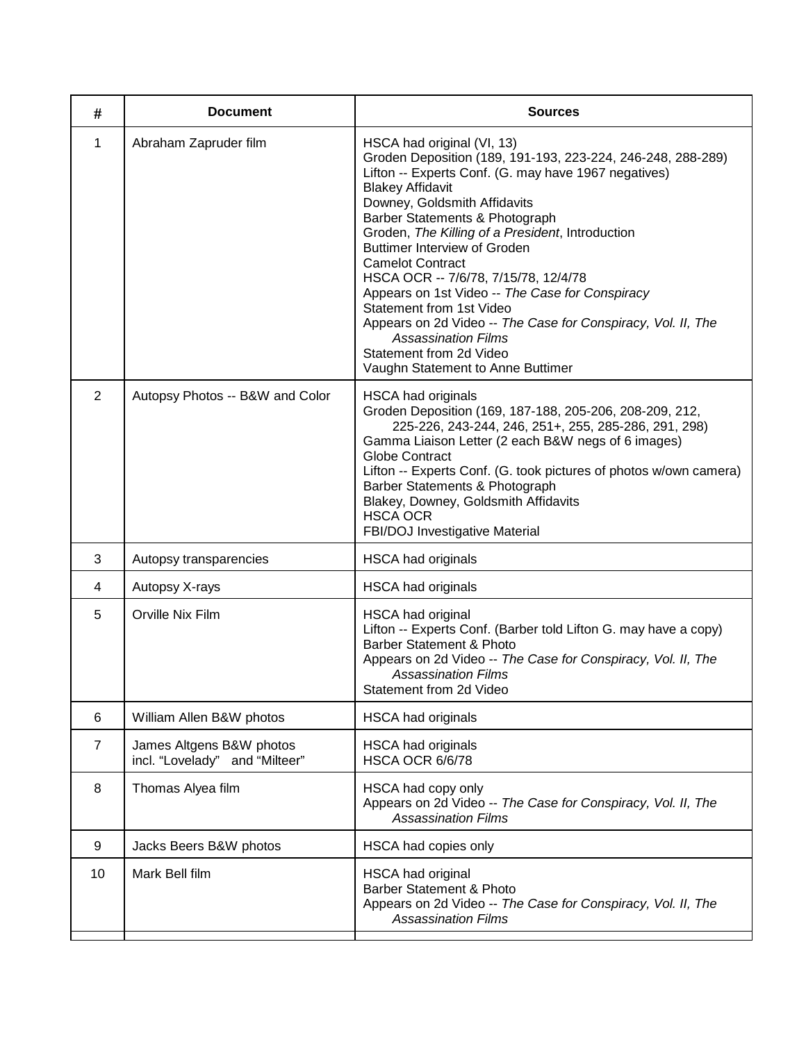| #              | <b>Document</b>                                            | <b>Sources</b>                                                                                                                                                                                                                                                                                                                                                                                                                                                                                                                                                                                                                                            |
|----------------|------------------------------------------------------------|-----------------------------------------------------------------------------------------------------------------------------------------------------------------------------------------------------------------------------------------------------------------------------------------------------------------------------------------------------------------------------------------------------------------------------------------------------------------------------------------------------------------------------------------------------------------------------------------------------------------------------------------------------------|
| 1              | Abraham Zapruder film                                      | HSCA had original (VI, 13)<br>Groden Deposition (189, 191-193, 223-224, 246-248, 288-289)<br>Lifton -- Experts Conf. (G. may have 1967 negatives)<br><b>Blakey Affidavit</b><br>Downey, Goldsmith Affidavits<br>Barber Statements & Photograph<br>Groden, The Killing of a President, Introduction<br><b>Buttimer Interview of Groden</b><br><b>Camelot Contract</b><br>HSCA OCR -- 7/6/78, 7/15/78, 12/4/78<br>Appears on 1st Video -- The Case for Conspiracy<br>Statement from 1st Video<br>Appears on 2d Video -- The Case for Conspiracy, Vol. II, The<br><b>Assassination Films</b><br>Statement from 2d Video<br>Vaughn Statement to Anne Buttimer |
| 2              | Autopsy Photos -- B&W and Color                            | <b>HSCA had originals</b><br>Groden Deposition (169, 187-188, 205-206, 208-209, 212,<br>225-226, 243-244, 246, 251+, 255, 285-286, 291, 298)<br>Gamma Liaison Letter (2 each B&W negs of 6 images)<br><b>Globe Contract</b><br>Lifton -- Experts Conf. (G. took pictures of photos w/own camera)<br>Barber Statements & Photograph<br>Blakey, Downey, Goldsmith Affidavits<br><b>HSCA OCR</b><br>FBI/DOJ Investigative Material                                                                                                                                                                                                                           |
| 3              | Autopsy transparencies                                     | <b>HSCA had originals</b>                                                                                                                                                                                                                                                                                                                                                                                                                                                                                                                                                                                                                                 |
| 4              | Autopsy X-rays                                             | <b>HSCA had originals</b>                                                                                                                                                                                                                                                                                                                                                                                                                                                                                                                                                                                                                                 |
| 5              | Orville Nix Film                                           | <b>HSCA had original</b><br>Lifton -- Experts Conf. (Barber told Lifton G. may have a copy)<br><b>Barber Statement &amp; Photo</b><br>Appears on 2d Video -- The Case for Conspiracy, Vol. II, The<br><b>Assassination Films</b><br>Statement from 2d Video                                                                                                                                                                                                                                                                                                                                                                                               |
| 6              | William Allen B&W photos                                   | <b>HSCA had originals</b>                                                                                                                                                                                                                                                                                                                                                                                                                                                                                                                                                                                                                                 |
| $\overline{7}$ | James Altgens B&W photos<br>incl. "Lovelady" and "Milteer" | <b>HSCA had originals</b><br><b>HSCA OCR 6/6/78</b>                                                                                                                                                                                                                                                                                                                                                                                                                                                                                                                                                                                                       |
| 8              | Thomas Alyea film                                          | HSCA had copy only<br>Appears on 2d Video -- The Case for Conspiracy, Vol. II, The<br><b>Assassination Films</b>                                                                                                                                                                                                                                                                                                                                                                                                                                                                                                                                          |
| 9              | Jacks Beers B&W photos                                     | HSCA had copies only                                                                                                                                                                                                                                                                                                                                                                                                                                                                                                                                                                                                                                      |
| 10             | Mark Bell film                                             | <b>HSCA had original</b><br><b>Barber Statement &amp; Photo</b><br>Appears on 2d Video -- The Case for Conspiracy, Vol. II, The<br><b>Assassination Films</b>                                                                                                                                                                                                                                                                                                                                                                                                                                                                                             |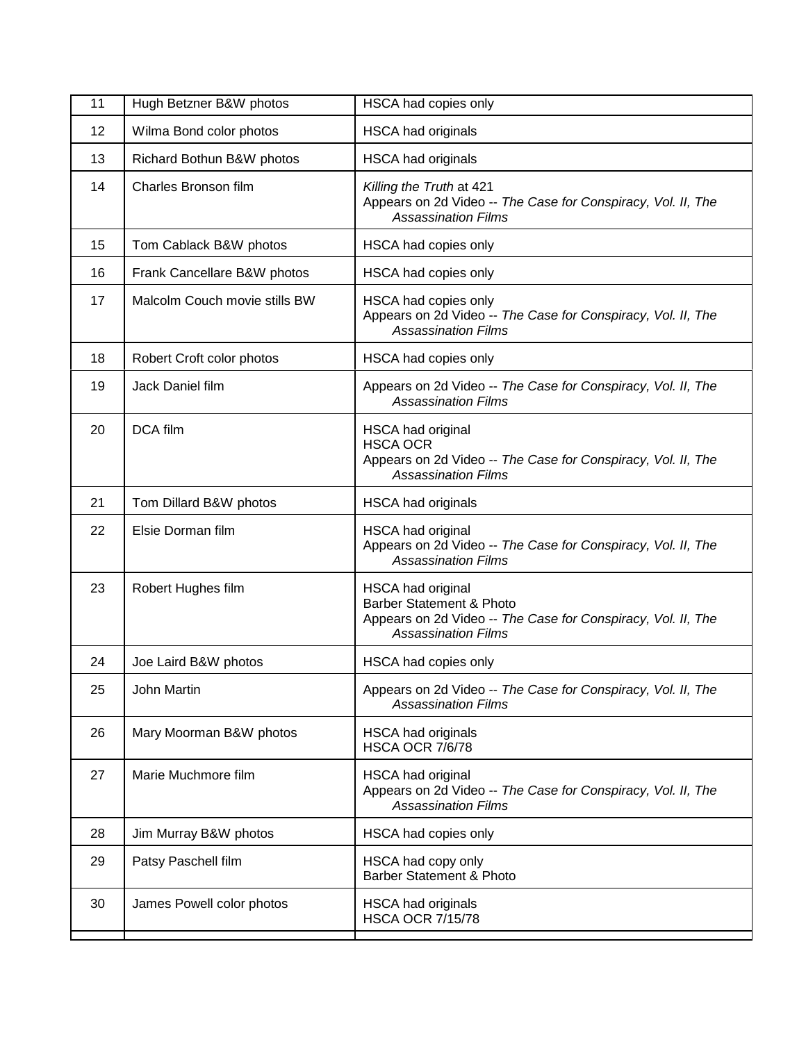| 11 | Hugh Betzner B&W photos       | HSCA had copies only                                                                                                                                   |
|----|-------------------------------|--------------------------------------------------------------------------------------------------------------------------------------------------------|
| 12 | Wilma Bond color photos       | <b>HSCA had originals</b>                                                                                                                              |
| 13 | Richard Bothun B&W photos     | <b>HSCA had originals</b>                                                                                                                              |
| 14 | Charles Bronson film          | Killing the Truth at 421<br>Appears on 2d Video -- The Case for Conspiracy, Vol. II, The<br><b>Assassination Films</b>                                 |
| 15 | Tom Cablack B&W photos        | HSCA had copies only                                                                                                                                   |
| 16 | Frank Cancellare B&W photos   | HSCA had copies only                                                                                                                                   |
| 17 | Malcolm Couch movie stills BW | HSCA had copies only<br>Appears on 2d Video -- The Case for Conspiracy, Vol. II, The<br><b>Assassination Films</b>                                     |
| 18 | Robert Croft color photos     | HSCA had copies only                                                                                                                                   |
| 19 | Jack Daniel film              | Appears on 2d Video -- The Case for Conspiracy, Vol. II, The<br><b>Assassination Films</b>                                                             |
| 20 | DCA film                      | <b>HSCA had original</b><br><b>HSCA OCR</b><br>Appears on 2d Video -- The Case for Conspiracy, Vol. II, The<br><b>Assassination Films</b>              |
| 21 | Tom Dillard B&W photos        | <b>HSCA had originals</b>                                                                                                                              |
| 22 | Elsie Dorman film             | <b>HSCA had original</b><br>Appears on 2d Video -- The Case for Conspiracy, Vol. II, The<br><b>Assassination Films</b>                                 |
| 23 | Robert Hughes film            | HSCA had original<br><b>Barber Statement &amp; Photo</b><br>Appears on 2d Video -- The Case for Conspiracy, Vol. II, The<br><b>Assassination Films</b> |
| 24 | Joe Laird B&W photos          | HSCA had copies only                                                                                                                                   |
| 25 | John Martin                   | Appears on 2d Video -- The Case for Conspiracy, Vol. II, The<br><b>Assassination Films</b>                                                             |
| 26 | Mary Moorman B&W photos       | <b>HSCA had originals</b><br><b>HSCA OCR 7/6/78</b>                                                                                                    |
| 27 | Marie Muchmore film           | <b>HSCA had original</b><br>Appears on 2d Video -- The Case for Conspiracy, Vol. II, The<br><b>Assassination Films</b>                                 |
| 28 | Jim Murray B&W photos         | HSCA had copies only                                                                                                                                   |
| 29 | Patsy Paschell film           | HSCA had copy only<br><b>Barber Statement &amp; Photo</b>                                                                                              |
| 30 | James Powell color photos     | <b>HSCA had originals</b><br><b>HSCA OCR 7/15/78</b>                                                                                                   |